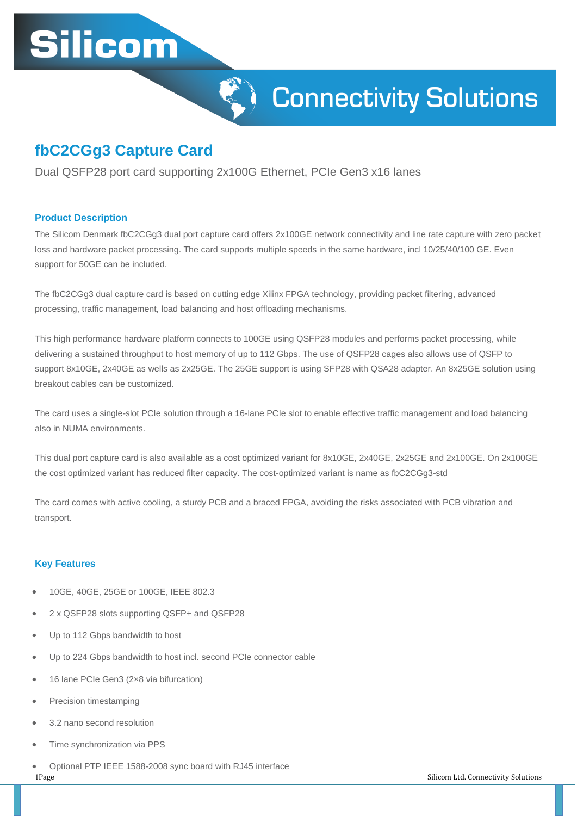# **Silicom**



## **fbC2CGg3 Capture Card**

Dual QSFP28 port card supporting 2x100G Ethernet, PCIe Gen3 x16 lanes

#### **Product Description**

The Silicom Denmark fbC2CGg3 dual port capture card offers 2x100GE network connectivity and line rate capture with zero packet loss and hardware packet processing. The card supports multiple speeds in the same hardware, incl 10/25/40/100 GE. Even support for 50GE can be included.

The fbC2CGg3 dual capture card is based on cutting edge Xilinx FPGA technology, providing packet filtering, advanced processing, traffic management, load balancing and host offloading mechanisms.

This high performance hardware platform connects to 100GE using QSFP28 modules and performs packet processing, while delivering a sustained throughput to host memory of up to 112 Gbps. The use of QSFP28 cages also allows use of QSFP to support 8x10GE, 2x40GE as wells as 2x25GE. The 25GE support is using SFP28 with QSA28 adapter. An 8x25GE solution using breakout cables can be customized.

The card uses a single-slot PCIe solution through a 16-lane PCIe slot to enable effective traffic management and load balancing also in NUMA environments.

This dual port capture card is also available as a cost optimized variant for 8x10GE, 2x40GE, 2x25GE and 2x100GE. On 2x100GE the cost optimized variant has reduced filter capacity. The cost-optimized variant is name as fbC2CGg3-std

The card comes with active cooling, a sturdy PCB and a braced FPGA, avoiding the risks associated with PCB vibration and transport.

#### **Key Features**

- 10GE, 40GE, 25GE or 100GE, IEEE 802.3
- 2 x QSFP28 slots supporting QSFP+ and QSFP28
- Up to 112 Gbps bandwidth to host
- Up to 224 Gbps bandwidth to host incl. second PCIe connector cable
- 16 lane PCIe Gen3 (2×8 via bifurcation)
- Precision timestamping
- 3.2 nano second resolution
- Time synchronization via PPS
- Optional PTP IEEE 1588-2008 sync board with RJ45 interface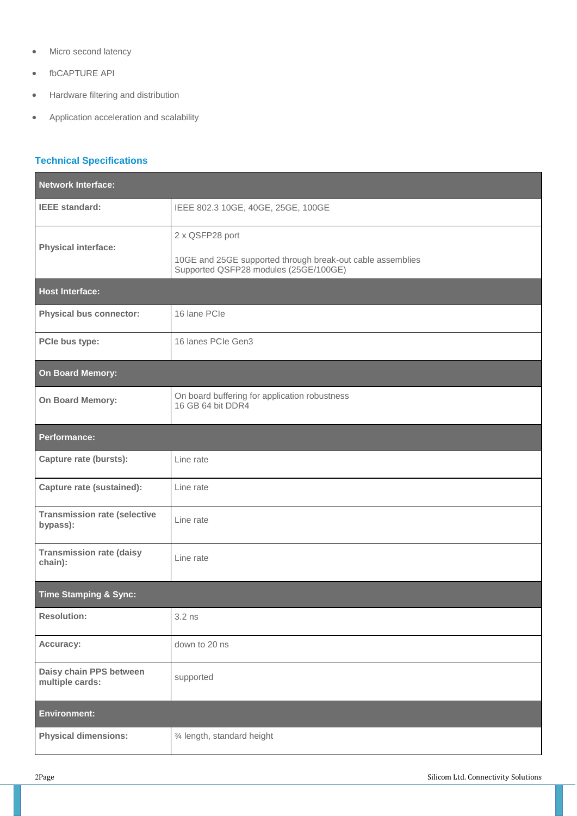- Micro second latency
- fbCAPTURE API
- **•** Hardware filtering and distribution
- Application acceleration and scalability

### **Technical Specifications**

| <b>Network Interface:</b>                       |                                                                                                     |  |
|-------------------------------------------------|-----------------------------------------------------------------------------------------------------|--|
| <b>IEEE</b> standard:                           | IEEE 802.3 10GE, 40GE, 25GE, 100GE                                                                  |  |
| <b>Physical interface:</b>                      | 2 x QSFP28 port                                                                                     |  |
|                                                 | 10GE and 25GE supported through break-out cable assemblies<br>Supported QSFP28 modules (25GE/100GE) |  |
| <b>Host Interface:</b>                          |                                                                                                     |  |
| <b>Physical bus connector:</b>                  | 16 lane PCIe                                                                                        |  |
| PCle bus type:                                  | 16 lanes PCIe Gen3                                                                                  |  |
| On Board Memory:                                |                                                                                                     |  |
| On Board Memory:                                | On board buffering for application robustness<br>16 GB 64 bit DDR4                                  |  |
| <b>Performance:</b>                             |                                                                                                     |  |
| <b>Capture rate (bursts):</b>                   | Line rate                                                                                           |  |
| <b>Capture rate (sustained):</b>                | Line rate                                                                                           |  |
| <b>Transmission rate (selective</b><br>bypass): | Line rate                                                                                           |  |
| <b>Transmission rate (daisy</b><br>chain):      | Line rate                                                                                           |  |
| <b>Time Stamping &amp; Sync:</b>                |                                                                                                     |  |
| <b>Resolution:</b>                              | $3.2$ ns                                                                                            |  |
| Accuracy:                                       | down to 20 ns                                                                                       |  |
| Daisy chain PPS between<br>multiple cards:      | supported                                                                                           |  |
| <b>Environment:</b>                             |                                                                                                     |  |
| <b>Physical dimensions:</b>                     | 3⁄4 length, standard height                                                                         |  |